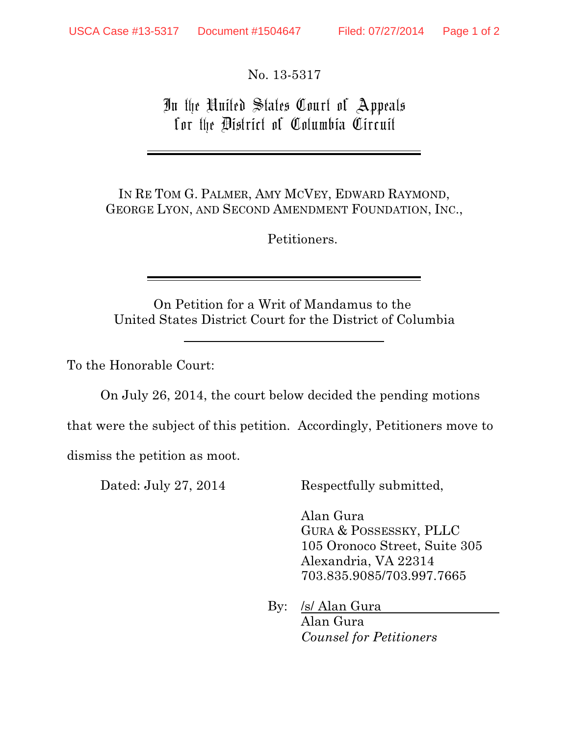No. 13-5317

In the United States Court of Appeals for the District of Columbia Circuit

IN RE TOM G. PALMER, AMY MCVEY, EDWARD RAYMOND, GEORGE LYON, AND SECOND AMENDMENT FOUNDATION, INC.,

Petitioners.

On Petition for a Writ of Mandamus to the United States District Court for the District of Columbia

To the Honorable Court:

On July 26, 2014, the court below decided the pending motions

that were the subject of this petition. Accordingly, Petitioners move to

dismiss the petition as moot.

Dated: July 27, 2014 Respectfully submitted,

Alan Gura GURA & POSSESSKY, PLLC 105 Oronoco Street, Suite 305 Alexandria, VA 22314 703.835.9085/703.997.7665

 By: /s/ Alan Gura Alan Gura *Counsel for Petitioners*